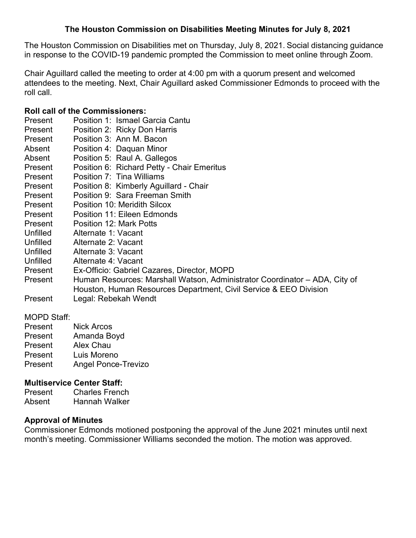## **The Houston Commission on Disabilities Meeting Minutes for July 8, 2021**

The Houston Commission on Disabilities met on Thursday, July 8, 2021. Social distancing guidance in response to the COVID-19 pandemic prompted the Commission to meet online through Zoom.

Chair Aguillard called the meeting to order at 4:00 pm with a quorum present and welcomed attendees to the meeting. Next, Chair Aguillard asked Commissioner Edmonds to proceed with the roll call.

#### **Roll call of the Commissioners:**

Present Position 1: Ismael Garcia Cantu Present Position 2: Ricky Don Harris Present Position 3: Ann M. Bacon Absent Position 4: Daquan Minor Absent Position 5: Raul A. Gallegos Present Position 6: Richard Petty - Chair Emeritus Present Position 7: Tina Williams Present Position 8: Kimberly Aguillard - Chair Present Position 9: Sara Freeman Smith Present Position 10: Meridith Silcox Present Position 11: Eileen Edmonds Present Position 12: Mark Potts<br>Unfilled Alternate 1: Vacant Alternate 1: Vacant Unfilled Alternate 2: Vacant Unfilled Alternate 3: Vacant Unfilled Alternate 4: Vacant Present Ex-Officio: Gabriel Cazares, Director, MOPD Present Human Resources: Marshall Watson, Administrator Coordinator – ADA, City of Houston, Human Resources Department, Civil Service & EEO Division Present Legal: Rebekah Wendt

## MOPD Staff:

- Present Nick Arcos Present Amanda Boyd
- Present Alex Chau
- Present Luis Moreno
- Present Angel Ponce-Trevizo

## **Multiservice Center Staff:**

Present Charles French Absent Hannah Walker

## **Approval of Minutes**

Commissioner Edmonds motioned postponing the approval of the June 2021 minutes until next month's meeting. Commissioner Williams seconded the motion. The motion was approved.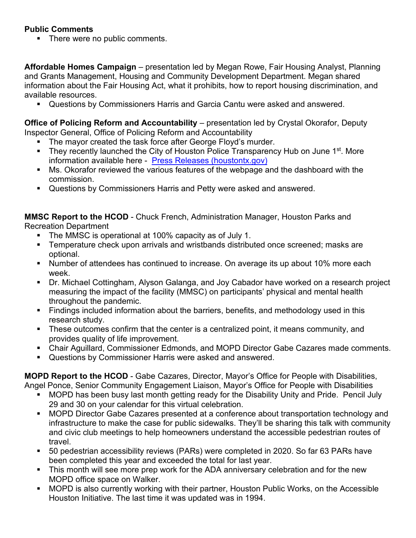# **Public Comments**

• There were no public comments.

**Affordable Homes Campaign** – presentation led by Megan Rowe, Fair Housing Analyst, Planning and Grants Management, Housing and Community Development Department. Megan shared information about the Fair Housing Act, what it prohibits, how to report housing discrimination, and available resources.

Questions by Commissioners Harris and Garcia Cantu were asked and answered.

**Office of Policing Reform and Accountability** – presentation led by Crystal Okorafor, Deputy Inspector General, Office of Policing Reform and Accountability

- The mayor created the task force after George Floyd's murder.
- They recently launched the City of Houston Police Transparency Hub on June 1<sup>st</sup>. More information available here - [Press Releases \(houstontx.gov\)](https://houstontx.gov/mayor/press/2021/police-transparency-hub.html)
- Ms. Okorafor reviewed the various features of the webpage and the dashboard with the commission.
- Questions by Commissioners Harris and Petty were asked and answered.

**MMSC Report to the HCOD** - Chuck French, Administration Manager, Houston Parks and Recreation Department

- The MMSC is operational at 100% capacity as of July 1.
- **Temperature check upon arrivals and wristbands distributed once screened; masks are** optional.
- Number of attendees has continued to increase. On average its up about 10% more each week.
- Dr. Michael Cottingham, Alyson Galanga, and Joy Cabador have worked on a research project measuring the impact of the facility (MMSC) on participants' physical and mental health throughout the pandemic.
- Findings included information about the barriers, benefits, and methodology used in this research study.
- **These outcomes confirm that the center is a centralized point, it means community, and** provides quality of life improvement.
- Chair Aguillard, Commissioner Edmonds, and MOPD Director Gabe Cazares made comments.
- Questions by Commissioner Harris were asked and answered.

**MOPD Report to the HCOD** - Gabe Cazares, Director, Mayor's Office for People with Disabilities, Angel Ponce, Senior Community Engagement Liaison, Mayor's Office for People with Disabilities

- MOPD has been busy last month getting ready for the Disability Unity and Pride. Pencil July 29 and 30 on your calendar for this virtual celebration.
- MOPD Director Gabe Cazares presented at a conference about transportation technology and infrastructure to make the case for public sidewalks. They'll be sharing this talk with community and civic club meetings to help homeowners understand the accessible pedestrian routes of travel.
- 50 pedestrian accessibility reviews (PARs) were completed in 2020. So far 63 PARs have been completed this year and exceeded the total for last year.
- This month will see more prep work for the ADA anniversary celebration and for the new MOPD office space on Walker.
- MOPD is also currently working with their partner, Houston Public Works, on the Accessible Houston Initiative. The last time it was updated was in 1994.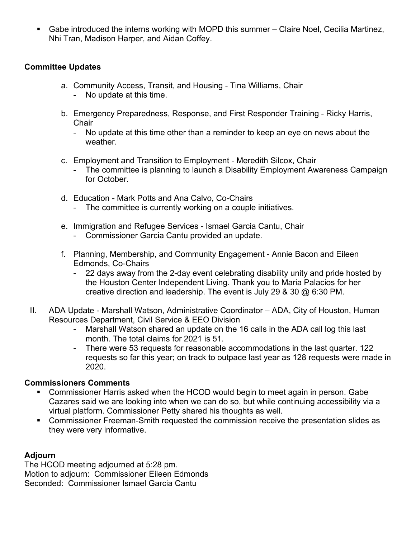Gabe introduced the interns working with MOPD this summer – Claire Noel, Cecilia Martinez, Nhi Tran, Madison Harper, and Aidan Coffey.

## **Committee Updates**

- a. Community Access, Transit, and Housing Tina Williams, Chair
	- No update at this time.
- b. Emergency Preparedness, Response, and First Responder Training Ricky Harris, **Chair** 
	- No update at this time other than a reminder to keep an eye on news about the weather.
- c. Employment and Transition to Employment Meredith Silcox, Chair
	- The committee is planning to launch a Disability Employment Awareness Campaign for October.
- d. Education Mark Potts and Ana Calvo, Co-Chairs
	- The committee is currently working on a couple initiatives.
- e. Immigration and Refugee Services Ismael Garcia Cantu, Chair
	- Commissioner Garcia Cantu provided an update.
- f. Planning, Membership, and Community Engagement Annie Bacon and Eileen Edmonds, Co-Chairs
	- 22 days away from the 2-day event celebrating disability unity and pride hosted by the Houston Center Independent Living. Thank you to Maria Palacios for her creative direction and leadership. The event is July 29 & 30 @ 6:30 PM.
- II. ADA Update Marshall Watson, Administrative Coordinator ADA, City of Houston, Human Resources Department, Civil Service & EEO Division
	- Marshall Watson shared an update on the 16 calls in the ADA call log this last month. The total claims for 2021 is 51.
	- There were 53 requests for reasonable accommodations in the last quarter. 122 requests so far this year; on track to outpace last year as 128 requests were made in 2020.

## **Commissioners Comments**

- Commissioner Harris asked when the HCOD would begin to meet again in person. Gabe Cazares said we are looking into when we can do so, but while continuing accessibility via a virtual platform. Commissioner Petty shared his thoughts as well.
- **Commissioner Freeman-Smith requested the commission receive the presentation slides as** they were very informative.

## **Adjourn**

The HCOD meeting adjourned at 5:28 pm. Motion to adjourn: Commissioner Eileen Edmonds Seconded: Commissioner Ismael Garcia Cantu